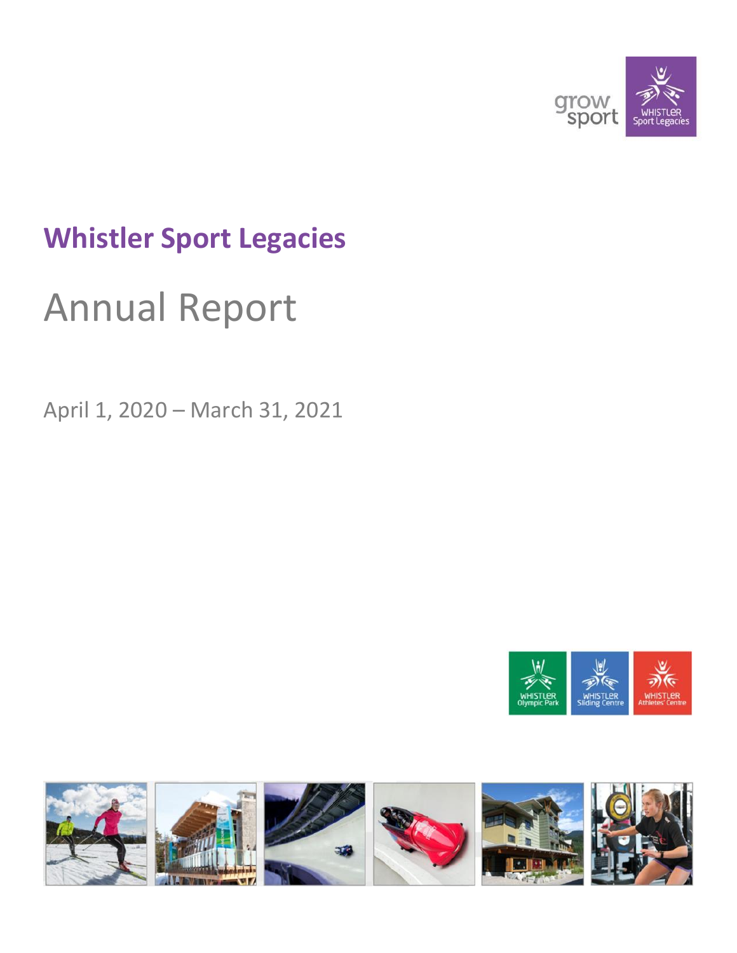

# **Whistler Sport Legacies**

# Annual Report

April 1, 2020 – March 31, 2021



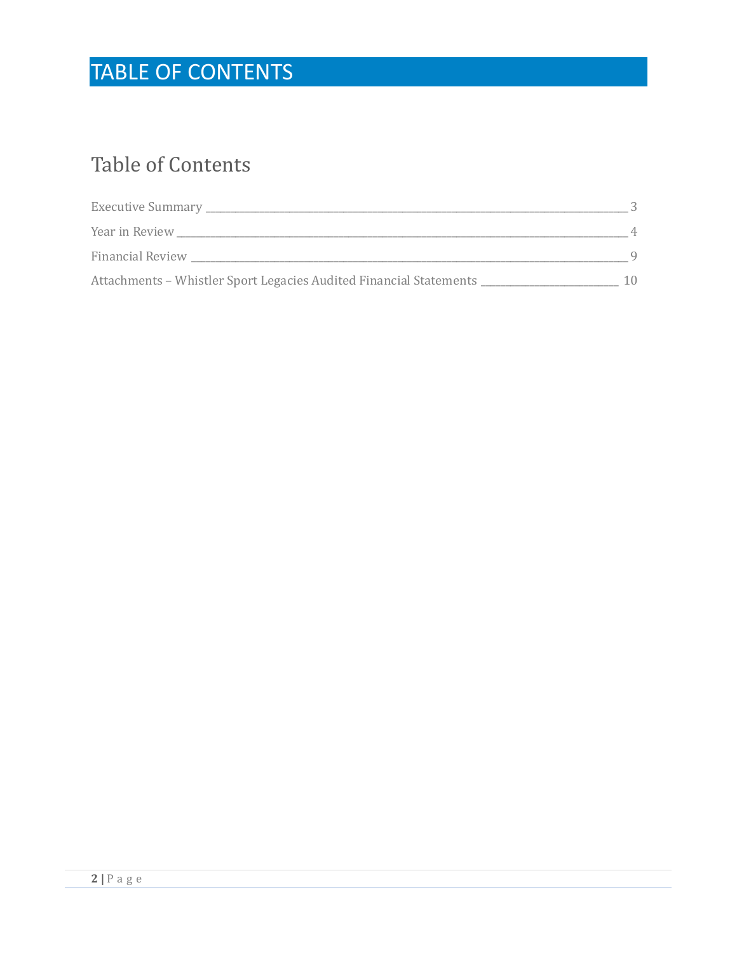# TABLE OF CONTENTS

### Table of Contents

| Executive Summary                                                  |  |
|--------------------------------------------------------------------|--|
| Year in Review                                                     |  |
| <b>Financial Review</b>                                            |  |
| Attachments - Whistler Sport Legacies Audited Financial Statements |  |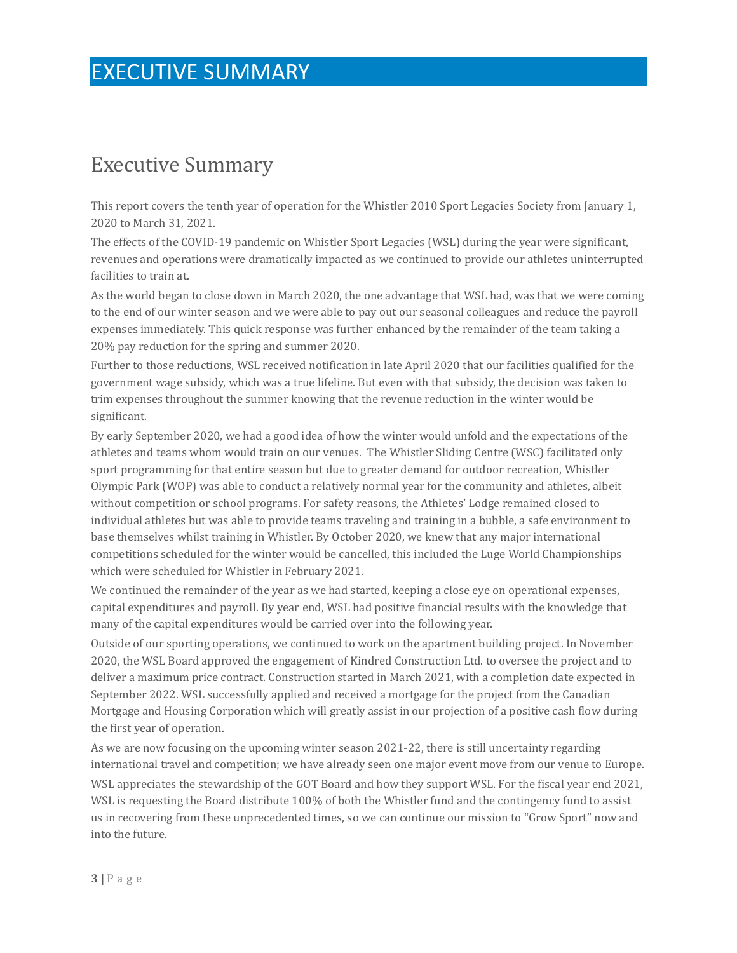### EXECUTIVE SUMMARY

### <span id="page-2-0"></span>Executive Summary

This report covers the tenth year of operation for the Whistler 2010 Sport Legacies Society from January 1, 2020 to March 31, 2021.

The effects of the COVID-19 pandemic on Whistler Sport Legacies (WSL) during the year were significant, revenues and operations were dramatically impacted as we continued to provide our athletes uninterrupted facilities to train at.

As the world began to close down in March 2020, the one advantage that WSL had, was that we were coming to the end of our winter season and we were able to pay out our seasonal colleagues and reduce the payroll expenses immediately. This quick response was further enhanced by the remainder of the team taking a 20% pay reduction for the spring and summer 2020.

Further to those reductions, WSL received notification in late April 2020 that our facilities qualified for the government wage subsidy, which was a true lifeline. But even with that subsidy, the decision was taken to trim expenses throughout the summer knowing that the revenue reduction in the winter would be significant.

By early September 2020, we had a good idea of how the winter would unfold and the expectations of the athletes and teams whom would train on our venues. The Whistler Sliding Centre (WSC) facilitated only sport programming for that entire season but due to greater demand for outdoor recreation, Whistler Olympic Park (WOP) was able to conduct a relatively normal year for the community and athletes, albeit without competition or school programs. For safety reasons, the Athletes' Lodge remained closed to individual athletes but was able to provide teams traveling and training in a bubble, a safe environment to base themselves whilst training in Whistler. By October 2020, we knew that any major international competitions scheduled for the winter would be cancelled, this included the Luge World Championships which were scheduled for Whistler in February 2021.

We continued the remainder of the year as we had started, keeping a close eye on operational expenses, capital expenditures and payroll. By year end, WSL had positive financial results with the knowledge that many of the capital expenditures would be carried over into the following year.

Outside of our sporting operations, we continued to work on the apartment building project. In November 2020, the WSL Board approved the engagement of Kindred Construction Ltd. to oversee the project and to deliver a maximum price contract. Construction started in March 2021, with a completion date expected in September 2022. WSL successfully applied and received a mortgage for the project from the Canadian Mortgage and Housing Corporation which will greatly assist in our projection of a positive cash flow during the first year of operation.

As we are now focusing on the upcoming winter season 2021-22, there is still uncertainty regarding international travel and competition; we have already seen one major event move from our venue to Europe. WSL appreciates the stewardship of the GOT Board and how they support WSL. For the fiscal year end 2021, WSL is requesting the Board distribute 100% of both the Whistler fund and the contingency fund to assist us in recovering from these unprecedented times, so we can continue our mission to "Grow Sport" now and into the future.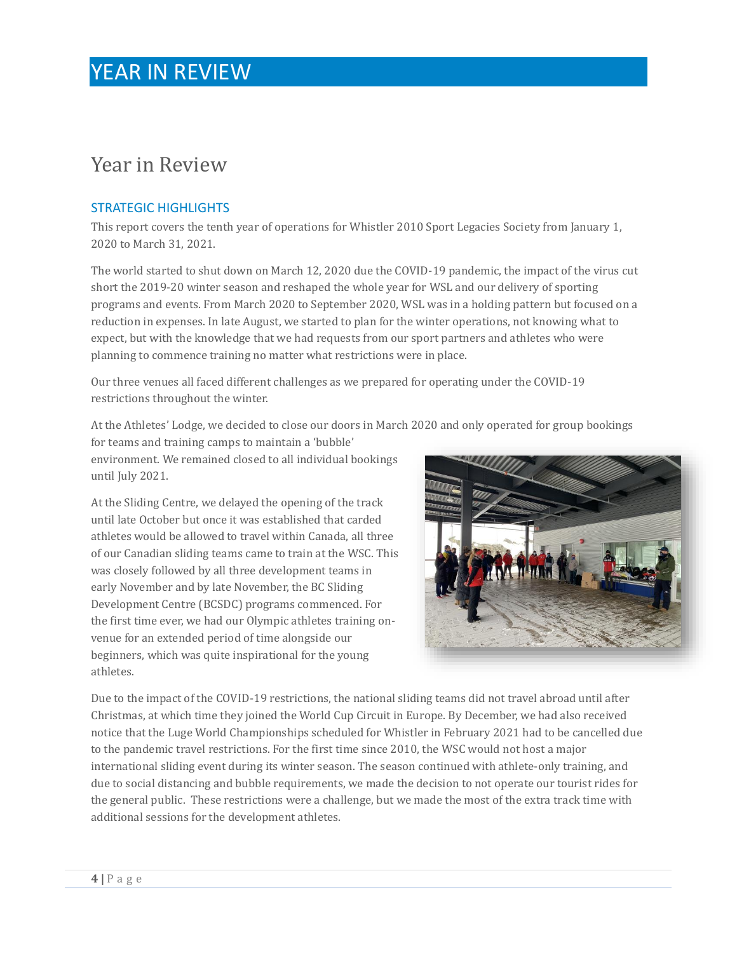### YEAR IN REVIEW

### <span id="page-3-0"></span>Year in Review

### STRATEGIC HIGHLIGHTS

This report covers the tenth year of operations for Whistler 2010 Sport Legacies Society from January 1, 2020 to March 31, 2021.

The world started to shut down on March 12, 2020 due the COVID-19 pandemic, the impact of the virus cut short the 2019-20 winter season and reshaped the whole year for WSL and our delivery of sporting programs and events. From March 2020 to September 2020, WSL was in a holding pattern but focused on a reduction in expenses. In late August, we started to plan for the winter operations, not knowing what to expect, but with the knowledge that we had requests from our sport partners and athletes who were planning to commence training no matter what restrictions were in place.

Our three venues all faced different challenges as we prepared for operating under the COVID-19 restrictions throughout the winter.

At the Athletes' Lodge, we decided to close our doors in March 2020 and only operated for group bookings

for teams and training camps to maintain a 'bubble' environment. We remained closed to all individual bookings until July 2021.

At the Sliding Centre, we delayed the opening of the track until late October but once it was established that carded athletes would be allowed to travel within Canada, all three of our Canadian sliding teams came to train at the WSC. This was closely followed by all three development teams in early November and by late November, the BC Sliding Development Centre (BCSDC) programs commenced. For the first time ever, we had our Olympic athletes training onvenue for an extended period of time alongside our beginners, which was quite inspirational for the young athletes.



Due to the impact of the COVID-19 restrictions, the national sliding teams did not travel abroad until after Christmas, at which time they joined the World Cup Circuit in Europe. By December, we had also received notice that the Luge World Championships scheduled for Whistler in February 2021 had to be cancelled due to the pandemic travel restrictions. For the first time since 2010, the WSC would not host a major international sliding event during its winter season. The season continued with athlete-only training, and due to social distancing and bubble requirements, we made the decision to not operate our tourist rides for the general public. These restrictions were a challenge, but we made the most of the extra track time with additional sessions for the development athletes.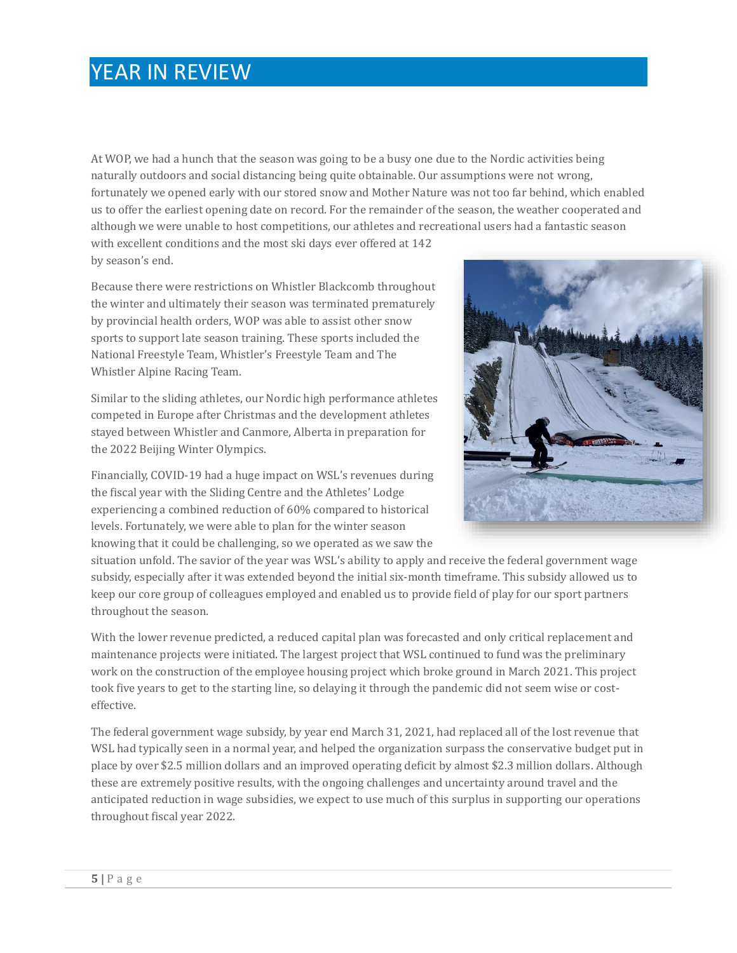### YEAR IN REVIEW

At WOP, we had a hunch that the season was going to be a busy one due to the Nordic activities being naturally outdoors and social distancing being quite obtainable. Our assumptions were not wrong, fortunately we opened early with our stored snow and Mother Nature was not too far behind, which enabled us to offer the earliest opening date on record. For the remainder of the season, the weather cooperated and although we were unable to host competitions, our athletes and recreational users had a fantastic season

with excellent conditions and the most ski days ever offered at 142 by season's end.

Because there were restrictions on Whistler Blackcomb throughout the winter and ultimately their season was terminated prematurely by provincial health orders, WOP was able to assist other snow sports to support late season training. These sports included the National Freestyle Team, Whistler's Freestyle Team and The Whistler Alpine Racing Team.

Similar to the sliding athletes, our Nordic high performance athletes competed in Europe after Christmas and the development athletes stayed between Whistler and Canmore, Alberta in preparation for the 2022 Beijing Winter Olympics.

Financially, COVID-19 had a huge impact on WSL's revenues during the fiscal year with the Sliding Centre and the Athletes' Lodge experiencing a combined reduction of 60% compared to historical levels. Fortunately, we were able to plan for the winter season knowing that it could be challenging, so we operated as we saw the



situation unfold. The savior of the year was WSL's ability to apply and receive the federal government wage subsidy, especially after it was extended beyond the initial six-month timeframe. This subsidy allowed us to keep our core group of colleagues employed and enabled us to provide field of play for our sport partners throughout the season.

With the lower revenue predicted, a reduced capital plan was forecasted and only critical replacement and maintenance projects were initiated. The largest project that WSL continued to fund was the preliminary work on the construction of the employee housing project which broke ground in March 2021. This project took five years to get to the starting line, so delaying it through the pandemic did not seem wise or costeffective.

The federal government wage subsidy, by year end March 31, 2021, had replaced all of the lost revenue that WSL had typically seen in a normal year, and helped the organization surpass the conservative budget put in place by over \$2.5 million dollars and an improved operating deficit by almost \$2.3 million dollars. Although these are extremely positive results, with the ongoing challenges and uncertainty around travel and the anticipated reduction in wage subsidies, we expect to use much of this surplus in supporting our operations throughout fiscal year 2022.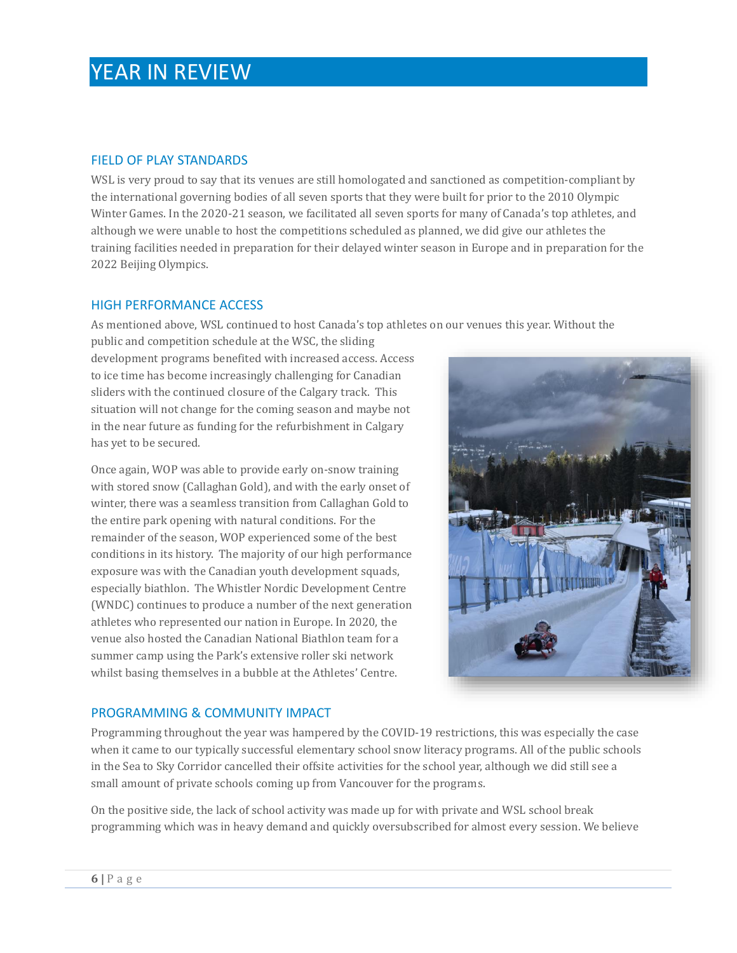### FIELD OF PLAY STANDARDS

WSL is very proud to say that its venues are still homologated and sanctioned as competition-compliant by the international governing bodies of all seven sports that they were built for prior to the 2010 Olympic Winter Games. In the 2020-21 season, we facilitated all seven sports for many of Canada's top athletes, and although we were unable to host the competitions scheduled as planned, we did give our athletes the training facilities needed in preparation for their delayed winter season in Europe and in preparation for the 2022 Beijing Olympics.

### HIGH PERFORMANCE ACCESS

As mentioned above, WSL continued to host Canada's top athletes on our venues this year. Without the

public and competition schedule at the WSC, the sliding development programs benefited with increased access. Access to ice time has become increasingly challenging for Canadian sliders with the continued closure of the Calgary track. This situation will not change for the coming season and maybe not in the near future as funding for the refurbishment in Calgary has yet to be secured.

Once again, WOP was able to provide early on-snow training with stored snow (Callaghan Gold), and with the early onset of winter, there was a seamless transition from Callaghan Gold to the entire park opening with natural conditions. For the remainder of the season, WOP experienced some of the best conditions in its history. The majority of our high performance exposure was with the Canadian youth development squads, especially biathlon. The Whistler Nordic Development Centre (WNDC) continues to produce a number of the next generation athletes who represented our nation in Europe. In 2020, the venue also hosted the Canadian National Biathlon team for a summer camp using the Park's extensive roller ski network whilst basing themselves in a bubble at the Athletes' Centre.



### PROGRAMMING & COMMUNITY IMPACT

Programming throughout the year was hampered by the COVID-19 restrictions, this was especially the case when it came to our typically successful elementary school snow literacy programs. All of the public schools in the Sea to Sky Corridor cancelled their offsite activities for the school year, although we did still see a small amount of private schools coming up from Vancouver for the programs.

On the positive side, the lack of school activity was made up for with private and WSL school break programming which was in heavy demand and quickly oversubscribed for almost every session. We believe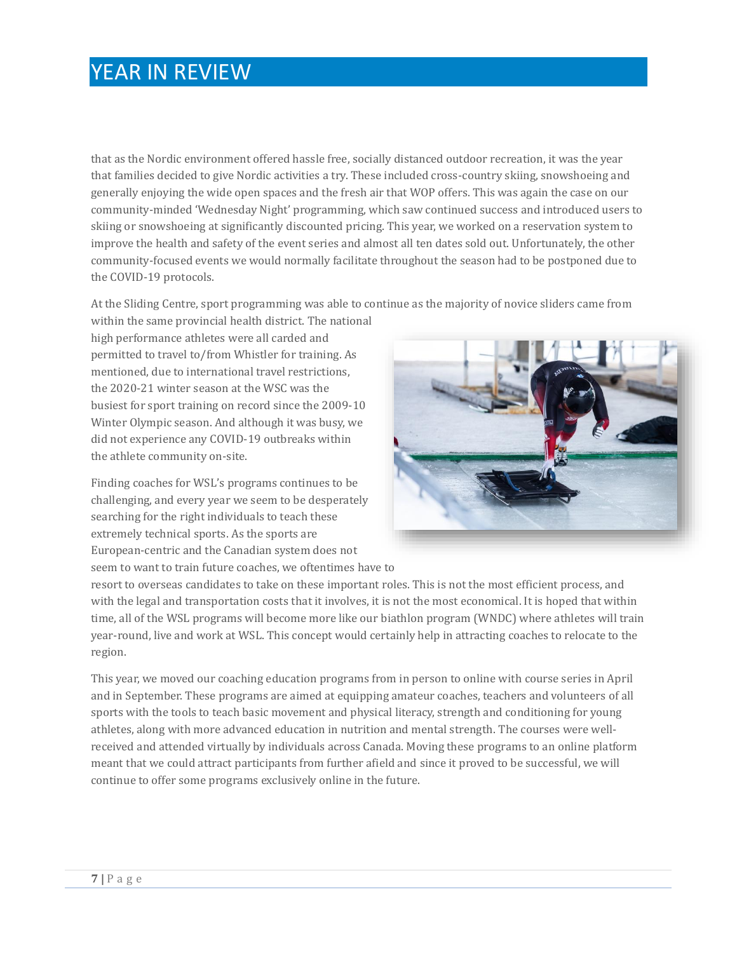### YEAR IN REVIEW

that as the Nordic environment offered hassle free, socially distanced outdoor recreation, it was the year that families decided to give Nordic activities a try. These included cross-country skiing, snowshoeing and generally enjoying the wide open spaces and the fresh air that WOP offers. This was again the case on our community-minded 'Wednesday Night' programming, which saw continued success and introduced users to skiing or snowshoeing at significantly discounted pricing. This year, we worked on a reservation system to improve the health and safety of the event series and almost all ten dates sold out. Unfortunately, the other community-focused events we would normally facilitate throughout the season had to be postponed due to the COVID-19 protocols.

At the Sliding Centre, sport programming was able to continue as the majority of novice sliders came from

within the same provincial health district. The national high performance athletes were all carded and permitted to travel to/from Whistler for training. As mentioned, due to international travel restrictions, the 2020-21 winter season at the WSC was the busiest for sport training on record since the 2009-10 Winter Olympic season. And although it was busy, we did not experience any COVID-19 outbreaks within the athlete community on-site.

Finding coaches for WSL's programs continues to be challenging, and every year we seem to be desperately searching for the right individuals to teach these extremely technical sports. As the sports are European-centric and the Canadian system does not seem to want to train future coaches, we oftentimes have to



resort to overseas candidates to take on these important roles. This is not the most efficient process, and with the legal and transportation costs that it involves, it is not the most economical. It is hoped that within time, all of the WSL programs will become more like our biathlon program (WNDC) where athletes will train year-round, live and work at WSL. This concept would certainly help in attracting coaches to relocate to the region.

This year, we moved our coaching education programs from in person to online with course series in April and in September. These programs are aimed at equipping amateur coaches, teachers and volunteers of all sports with the tools to teach basic movement and physical literacy, strength and conditioning for young athletes, along with more advanced education in nutrition and mental strength. The courses were wellreceived and attended virtually by individuals across Canada. Moving these programs to an online platform meant that we could attract participants from further afield and since it proved to be successful, we will continue to offer some programs exclusively online in the future.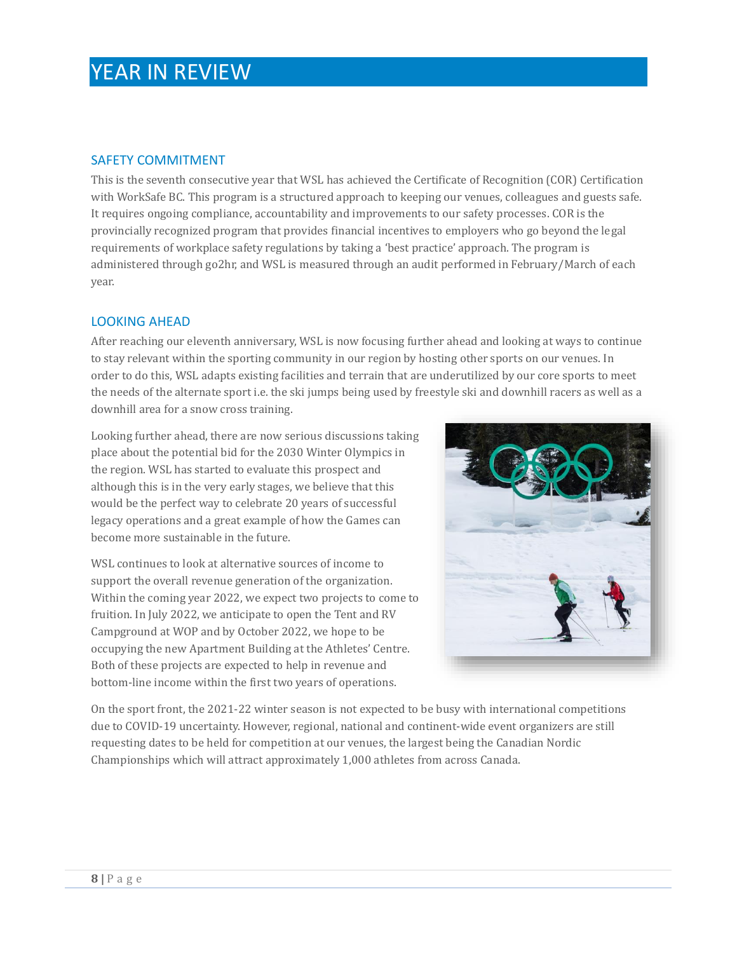### YEAR IN REVIEW

### SAFETY COMMITMENT

This is the seventh consecutive year that WSL has achieved the Certificate of Recognition (COR) Certification with WorkSafe BC. This program is a structured approach to keeping our venues, colleagues and guests safe. It requires ongoing compliance, accountability and improvements to our safety processes. COR is the provincially recognized program that provides financial incentives to employers who go beyond the legal requirements of workplace safety regulations by taking a 'best practice' approach. The program is administered through go2hr, and WSL is measured through an audit performed in February/March of each year.

### LOOKING AHEAD

After reaching our eleventh anniversary, WSL is now focusing further ahead and looking at ways to continue to stay relevant within the sporting community in our region by hosting other sports on our venues. In order to do this, WSL adapts existing facilities and terrain that are underutilized by our core sports to meet the needs of the alternate sport i.e. the ski jumps being used by freestyle ski and downhill racers as well as a downhill area for a snow cross training.

Looking further ahead, there are now serious discussions taking place about the potential bid for the 2030 Winter Olympics in the region. WSL has started to evaluate this prospect and although this is in the very early stages, we believe that this would be the perfect way to celebrate 20 years of successful legacy operations and a great example of how the Games can become more sustainable in the future.

WSL continues to look at alternative sources of income to support the overall revenue generation of the organization. Within the coming year 2022, we expect two projects to come to fruition. In July 2022, we anticipate to open the Tent and RV Campground at WOP and by October 2022, we hope to be occupying the new Apartment Building at the Athletes' Centre. Both of these projects are expected to help in revenue and bottom-line income within the first two years of operations.



On the sport front, the 2021-22 winter season is not expected to be busy with international competitions due to COVID-19 uncertainty. However, regional, national and continent-wide event organizers are still requesting dates to be held for competition at our venues, the largest being the Canadian Nordic Championships which will attract approximately 1,000 athletes from across Canada.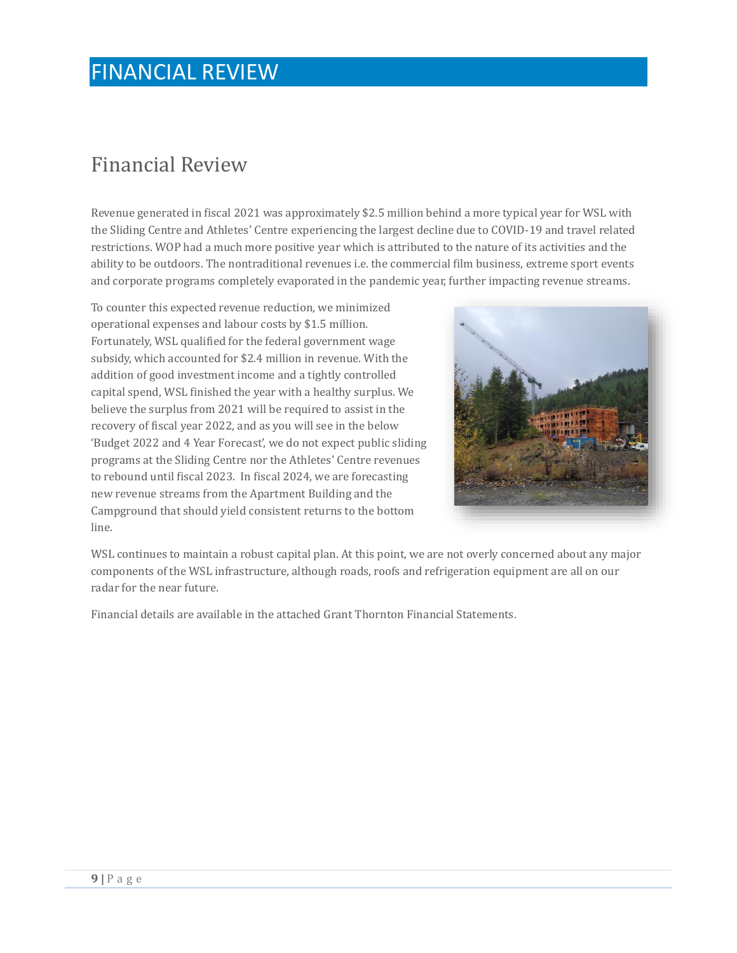### FINANCIAL REVIEW

### <span id="page-8-0"></span>Financial Review

Revenue generated in fiscal 2021 was approximately \$2.5 million behind a more typical year for WSL with the Sliding Centre and Athletes' Centre experiencing the largest decline due to COVID-19 and travel related restrictions. WOP had a much more positive year which is attributed to the nature of its activities and the ability to be outdoors. The nontraditional revenues i.e. the commercial film business, extreme sport events and corporate programs completely evaporated in the pandemic year, further impacting revenue streams.

To counter this expected revenue reduction, we minimized operational expenses and labour costs by \$1.5 million. Fortunately, WSL qualified for the federal government wage subsidy, which accounted for \$2.4 million in revenue. With the addition of good investment income and a tightly controlled capital spend, WSL finished the year with a healthy surplus. We believe the surplus from 2021 will be required to assist in the recovery of fiscal year 2022, and as you will see in the below 'Budget 2022 and 4 Year Forecast', we do not expect public sliding programs at the Sliding Centre nor the Athletes' Centre revenues to rebound until fiscal 2023. In fiscal 2024, we are forecasting new revenue streams from the Apartment Building and the Campground that should yield consistent returns to the bottom line.



WSL continues to maintain a robust capital plan. At this point, we are not overly concerned about any major components of the WSL infrastructure, although roads, roofs and refrigeration equipment are all on our radar for the near future.

Financial details are available in the attached Grant Thornton Financial Statements.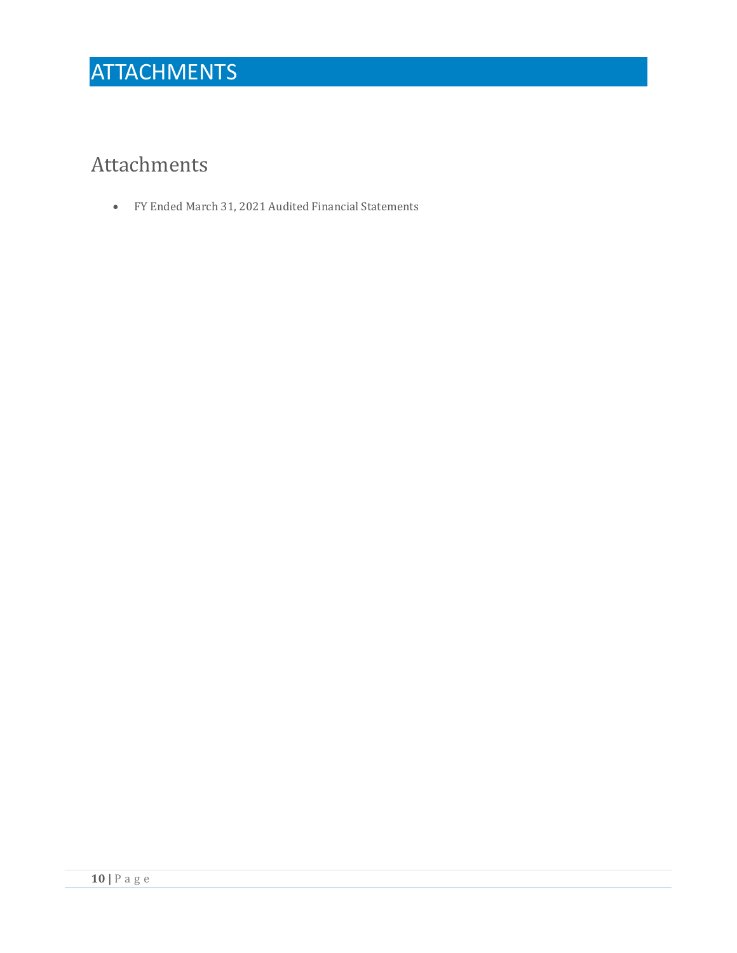## **ATTACHMENTS**

### <span id="page-9-0"></span>Attachments

• FY Ended March 31, 2021 Audited Financial Statements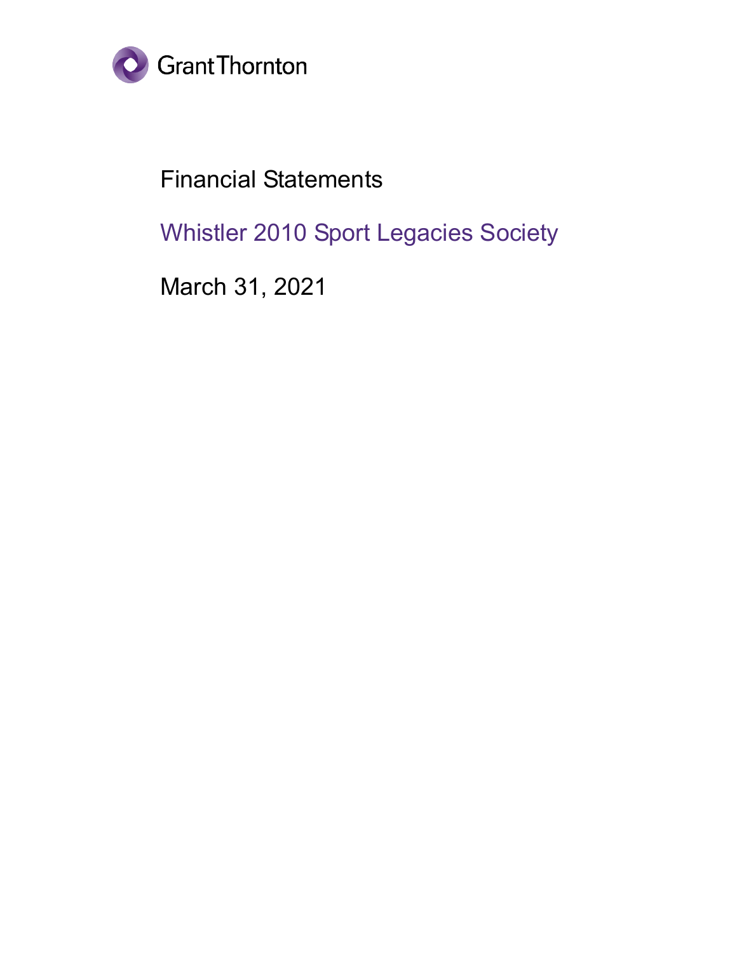

Financial Statements

Whistler 2010 Sport Legacies Society

March 31, 2021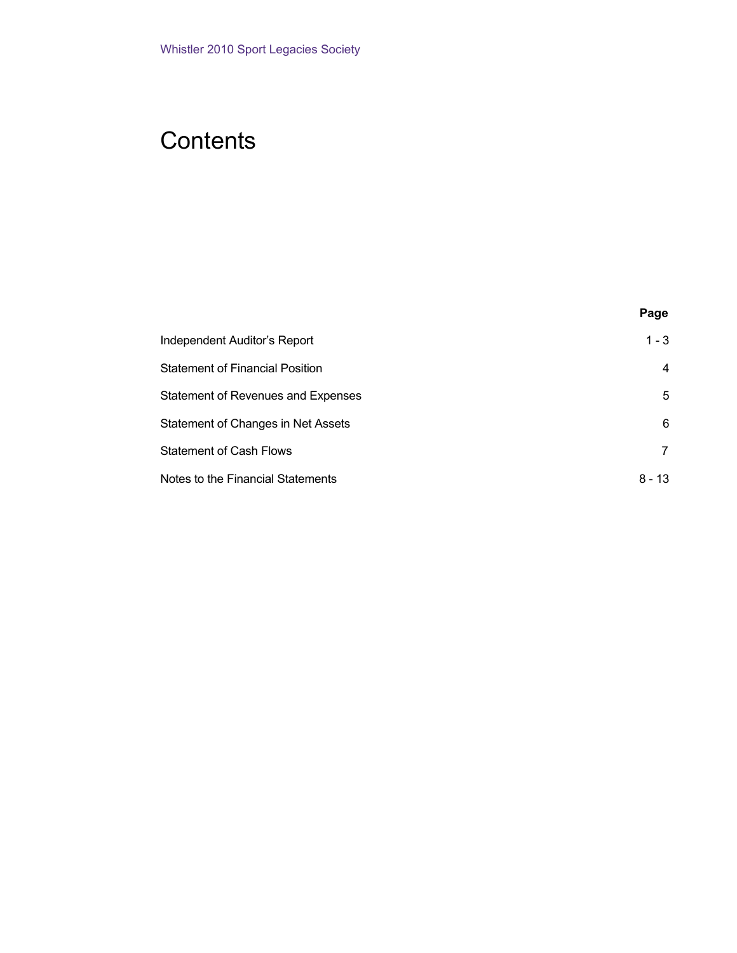## **Contents**

|                                    | Page           |
|------------------------------------|----------------|
| Independent Auditor's Report       | $1 - 3$        |
| Statement of Financial Position    | $\overline{4}$ |
| Statement of Revenues and Expenses | 5              |
| Statement of Changes in Net Assets | 6              |
| <b>Statement of Cash Flows</b>     | 7              |
| Notes to the Financial Statements  | $8 - 13$       |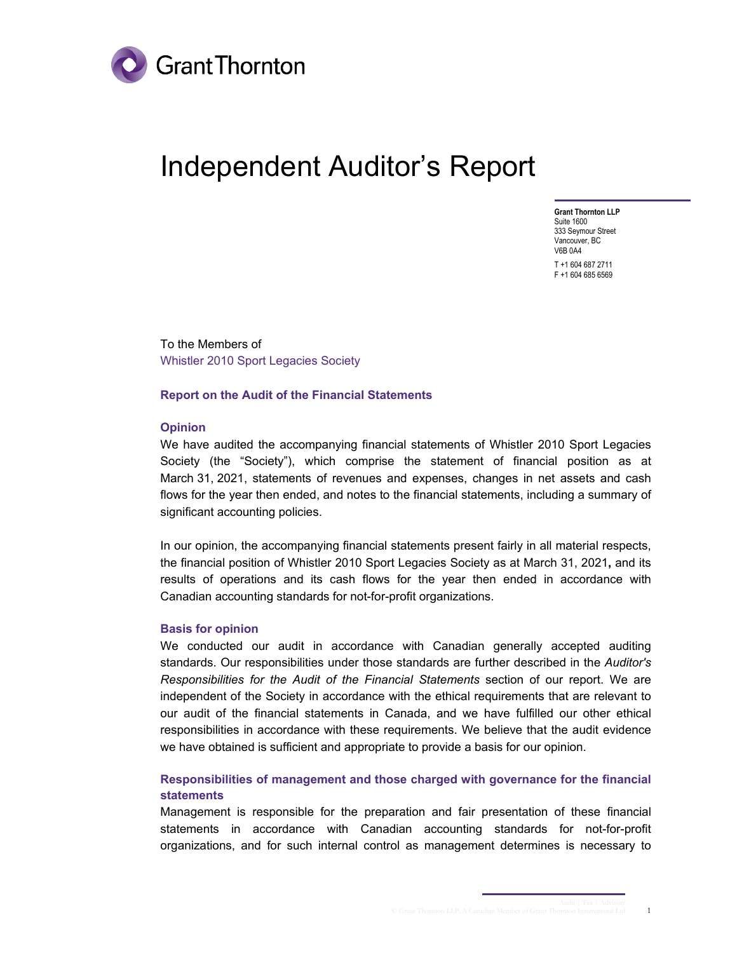

# Independent Auditor's Report

**Grant Thornton LLP** Suite 1600 333 Seymour Street Vancouver, BC V6B 0A4

T +1 604 687 2711 F +1 604 685 6569

To the Members of Whistler 2010 Sport Legacies Society

### **Report on the Audit of the Financial Statements**

#### **Opinion**

We have audited the accompanying financial statements of Whistler 2010 Sport Legacies Society (the "Society"), which comprise the statement of financial position as at March 31, 2021, statements of revenues and expenses, changes in net assets and cash flows for the year then ended, and notes to the financial statements, including a summary of significant accounting policies.

In our opinion, the accompanying financial statements present fairly in all material respects, the financial position of Whistler 2010 Sport Legacies Society as at March 31, 2021**,** and its results of operations and its cash flows for the year then ended in accordance with Canadian accounting standards for not-for-profit organizations.

#### **Basis for opinion**

We conducted our audit in accordance with Canadian generally accepted auditing standards. Our responsibilities under those standards are further described in the *Auditor's Responsibilities for the Audit of the Financial Statements* section of our report. We are independent of the Society in accordance with the ethical requirements that are relevant to our audit of the financial statements in Canada, and we have fulfilled our other ethical responsibilities in accordance with these requirements. We believe that the audit evidence we have obtained is sufficient and appropriate to provide a basis for our opinion.

### **Responsibilities of management and those charged with governance for the financial statements**

Management is responsible for the preparation and fair presentation of these financial statements in accordance with Canadian accounting standards for not-for-profit organizations, and for such internal control as management determines is necessary to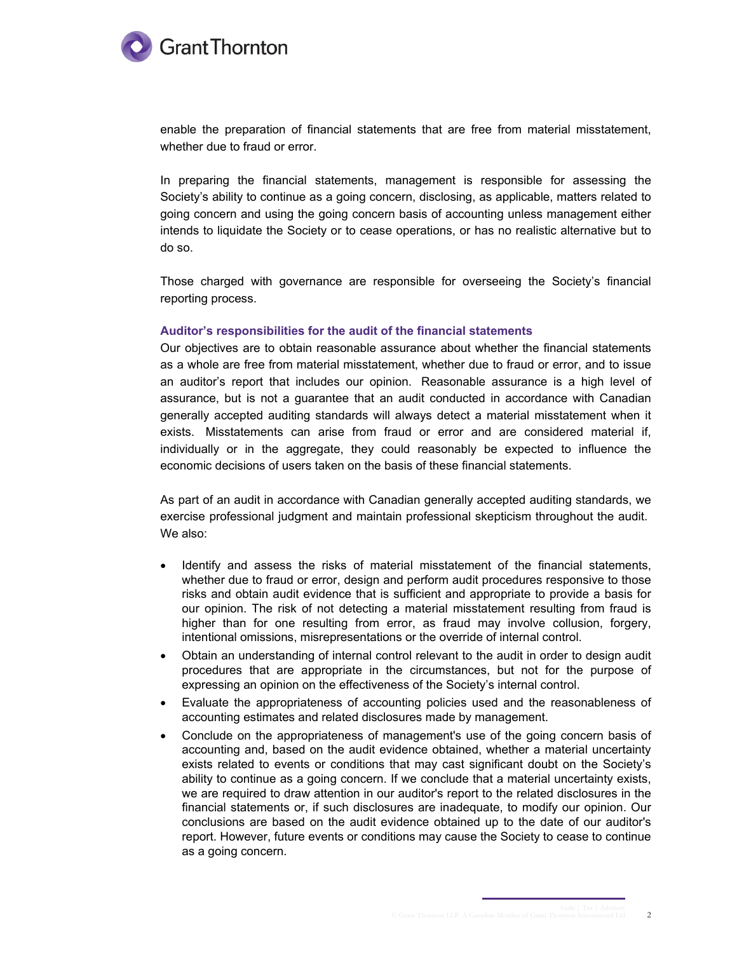

enable the preparation of financial statements that are free from material misstatement, whether due to fraud or error.

In preparing the financial statements, management is responsible for assessing the Society's ability to continue as a going concern, disclosing, as applicable, matters related to going concern and using the going concern basis of accounting unless management either intends to liquidate the Society or to cease operations, or has no realistic alternative but to do so.

Those charged with governance are responsible for overseeing the Society's financial reporting process.

### **Auditor's responsibilities for the audit of the financial statements**

Our objectives are to obtain reasonable assurance about whether the financial statements as a whole are free from material misstatement, whether due to fraud or error, and to issue an auditor's report that includes our opinion. Reasonable assurance is a high level of assurance, but is not a guarantee that an audit conducted in accordance with Canadian generally accepted auditing standards will always detect a material misstatement when it exists. Misstatements can arise from fraud or error and are considered material if, individually or in the aggregate, they could reasonably be expected to influence the economic decisions of users taken on the basis of these financial statements.

As part of an audit in accordance with Canadian generally accepted auditing standards, we exercise professional judgment and maintain professional skepticism throughout the audit. We also:

- Identify and assess the risks of material misstatement of the financial statements, whether due to fraud or error, design and perform audit procedures responsive to those risks and obtain audit evidence that is sufficient and appropriate to provide a basis for our opinion. The risk of not detecting a material misstatement resulting from fraud is higher than for one resulting from error, as fraud may involve collusion, forgery, intentional omissions, misrepresentations or the override of internal control.
- Obtain an understanding of internal control relevant to the audit in order to design audit procedures that are appropriate in the circumstances, but not for the purpose of expressing an opinion on the effectiveness of the Society's internal control.
- Evaluate the appropriateness of accounting policies used and the reasonableness of accounting estimates and related disclosures made by management.
- Conclude on the appropriateness of management's use of the going concern basis of accounting and, based on the audit evidence obtained, whether a material uncertainty exists related to events or conditions that may cast significant doubt on the Society's ability to continue as a going concern. If we conclude that a material uncertainty exists, we are required to draw attention in our auditor's report to the related disclosures in the financial statements or, if such disclosures are inadequate, to modify our opinion. Our conclusions are based on the audit evidence obtained up to the date of our auditor's report. However, future events or conditions may cause the Society to cease to continue as a going concern.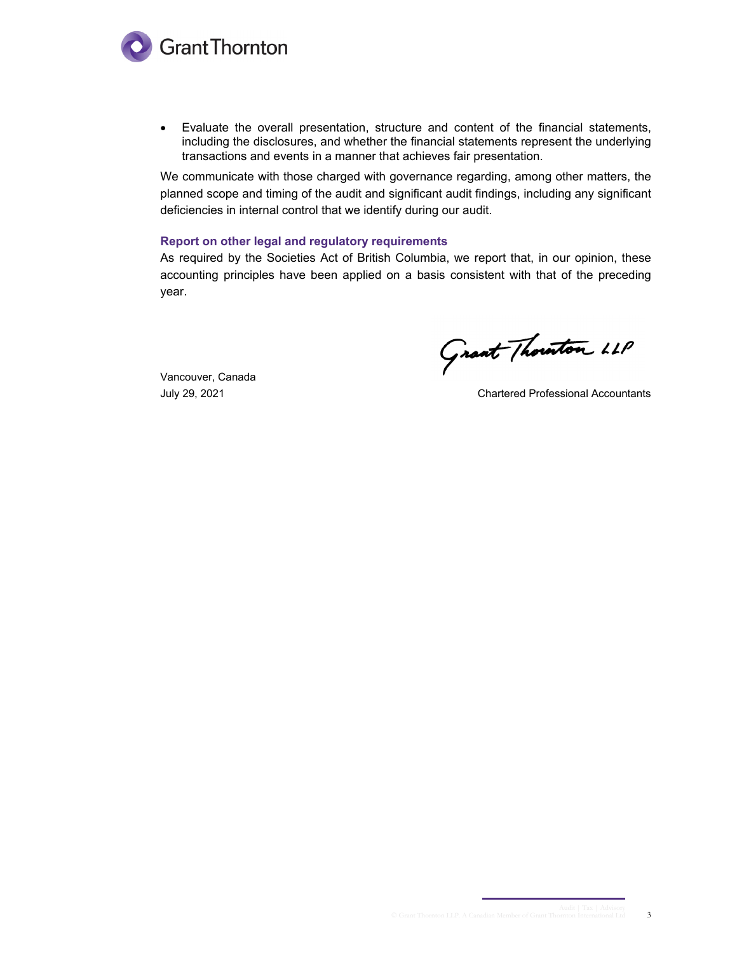

• Evaluate the overall presentation, structure and content of the financial statements, including the disclosures, and whether the financial statements represent the underlying transactions and events in a manner that achieves fair presentation.

We communicate with those charged with governance regarding, among other matters, the planned scope and timing of the audit and significant audit findings, including any significant deficiencies in internal control that we identify during our audit.

#### **Report on other legal and regulatory requirements**

As required by the Societies Act of British Columbia, we report that, in our opinion, these accounting principles have been applied on a basis consistent with that of the preceding year.

Vancouver, Canada

Grant Thouton LLP

July 29, 2021 Chartered Professional Accountants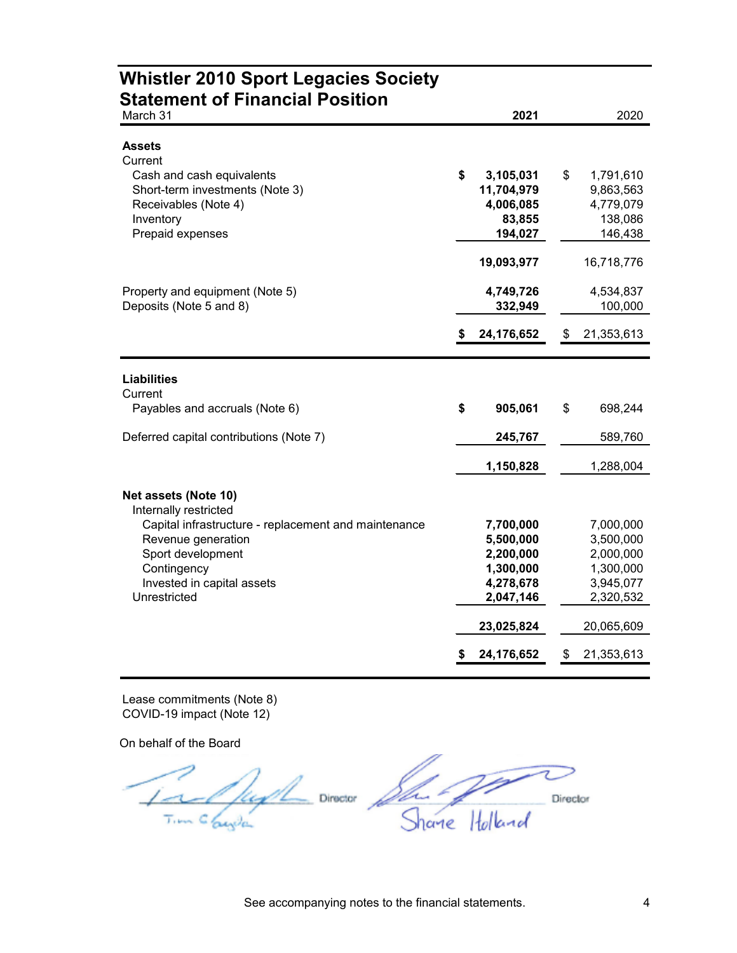| <b>Whistler 2010 Sport Legacies Society</b><br><b>Statement of Financial Position</b>                                                                                                                         |                                                                                          |                                                                                          |
|---------------------------------------------------------------------------------------------------------------------------------------------------------------------------------------------------------------|------------------------------------------------------------------------------------------|------------------------------------------------------------------------------------------|
| March 31                                                                                                                                                                                                      | 2021                                                                                     | 2020                                                                                     |
| Assets<br>Current<br>Cash and cash equivalents<br>Short-term investments (Note 3)<br>Receivables (Note 4)<br>Inventory<br>Prepaid expenses                                                                    | \$<br>3,105,031<br>11,704,979<br>4,006,085<br>83,855<br>194,027                          | \$<br>1,791,610<br>9,863,563<br>4,779,079<br>138,086<br>146,438                          |
| Property and equipment (Note 5)<br>Deposits (Note 5 and 8)                                                                                                                                                    | 19,093,977<br>4,749,726<br>332,949                                                       | 16,718,776<br>4,534,837<br>100,000                                                       |
|                                                                                                                                                                                                               | \$<br>24,176,652                                                                         | \$<br>21,353,613                                                                         |
| Liabilities                                                                                                                                                                                                   |                                                                                          |                                                                                          |
| Current<br>Payables and accruals (Note 6)                                                                                                                                                                     | \$<br>905,061                                                                            | \$<br>698,244                                                                            |
| Deferred capital contributions (Note 7)                                                                                                                                                                       | 245,767                                                                                  | 589,760                                                                                  |
|                                                                                                                                                                                                               | 1,150,828                                                                                | 1,288,004                                                                                |
| Net assets (Note 10)<br>Internally restricted<br>Capital infrastructure - replacement and maintenance<br>Revenue generation<br>Sport development<br>Contingency<br>Invested in capital assets<br>Unrestricted | 7,700,000<br>5,500,000<br>2,200,000<br>1,300,000<br>4,278,678<br>2,047,146<br>23,025,824 | 7,000,000<br>3,500,000<br>2,000,000<br>1,300,000<br>3,945,077<br>2,320,532<br>20,065,609 |
|                                                                                                                                                                                                               | \$<br>24,176,652                                                                         | \$<br>21,353,613                                                                         |

### Lease commitments (Note 8) COVID-19 impact (Note 12)

On behalf of the Board

Director Solution Director  $\mathcal{L}$ Kul Tim Clayde ane and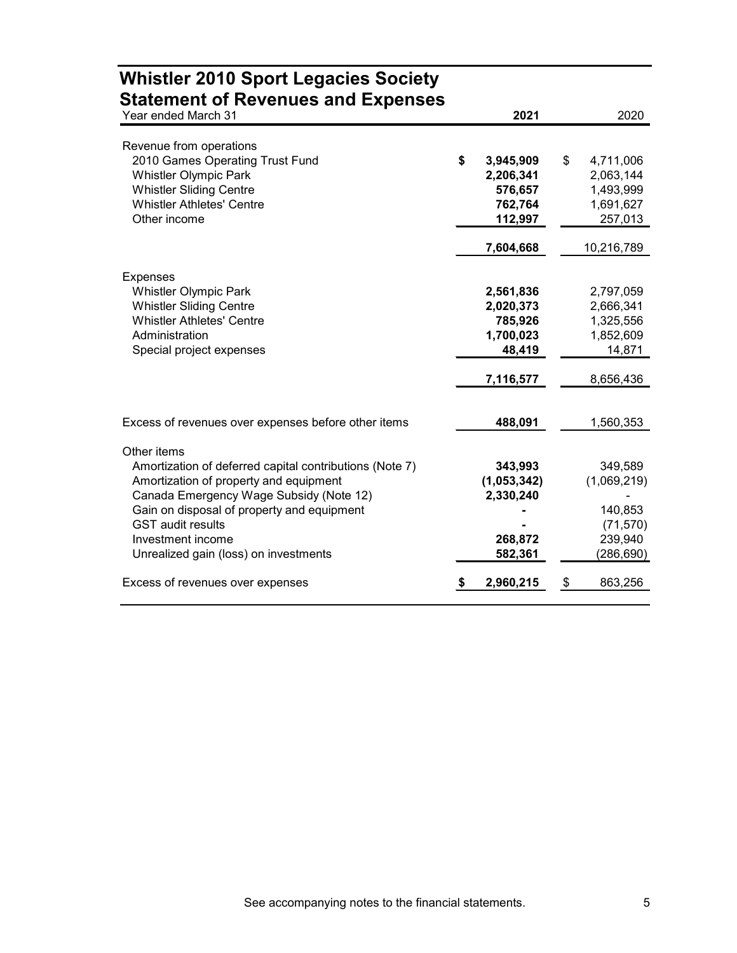| <b>Statement of Revenues and Expenses</b><br>Year ended March 31                                                                                                                                                                                                                                    | 2021                                                                  | 2020                                                                    |
|-----------------------------------------------------------------------------------------------------------------------------------------------------------------------------------------------------------------------------------------------------------------------------------------------------|-----------------------------------------------------------------------|-------------------------------------------------------------------------|
| Revenue from operations<br>2010 Games Operating Trust Fund<br><b>Whistler Olympic Park</b><br><b>Whistler Sliding Centre</b><br><b>Whistler Athletes' Centre</b><br>Other income                                                                                                                    | \$<br>3,945,909<br>2,206,341<br>576,657<br>762,764<br>112,997         | \$<br>4,711,006<br>2,063,144<br>1,493,999<br>1,691,627<br>257,013       |
|                                                                                                                                                                                                                                                                                                     | 7,604,668                                                             | 10,216,789                                                              |
| <b>Expenses</b><br><b>Whistler Olympic Park</b><br><b>Whistler Sliding Centre</b><br><b>Whistler Athletes' Centre</b><br>Administration<br>Special project expenses                                                                                                                                 | 2,561,836<br>2,020,373<br>785,926<br>1,700,023<br>48,419<br>7,116,577 | 2,797,059<br>2,666,341<br>1,325,556<br>1,852,609<br>14,871<br>8,656,436 |
| Excess of revenues over expenses before other items                                                                                                                                                                                                                                                 | 488,091                                                               | 1,560,353                                                               |
| Other items<br>Amortization of deferred capital contributions (Note 7)<br>Amortization of property and equipment<br>Canada Emergency Wage Subsidy (Note 12)<br>Gain on disposal of property and equipment<br><b>GST</b> audit results<br>Investment income<br>Unrealized gain (loss) on investments | 343,993<br>(1,053,342)<br>2,330,240<br>268,872<br>582,361             | 349,589<br>(1,069,219)<br>140,853<br>(71, 570)<br>239,940<br>(286, 690) |
| Excess of revenues over expenses                                                                                                                                                                                                                                                                    | \$<br>2,960,215                                                       | \$<br>863,256                                                           |

# **Whistler 2010 Sport Legacies Society**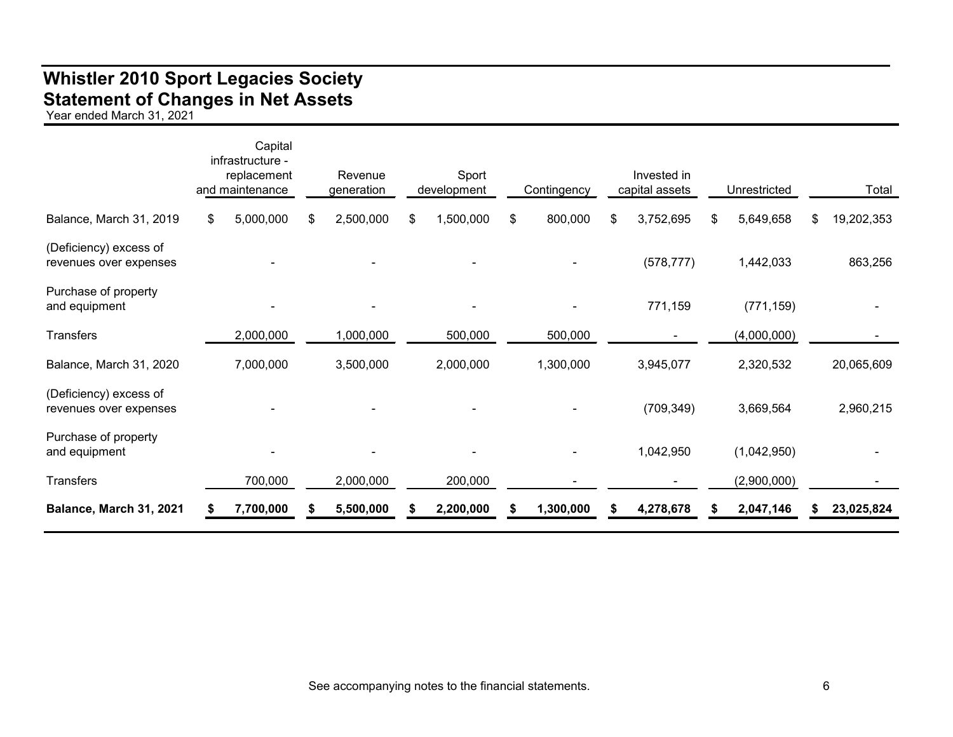### **Whistler 2010 Sport Legacies Society Statement of Changes in Net Assets**

Year ended March 31, 2021

|                                                  | Capital<br>infrastructure -<br>replacement<br>and maintenance |    | Revenue<br>generation | Sport<br>development |    | Contingency |    | Invested in<br>capital assets |    | Unrestricted |    | Total      |
|--------------------------------------------------|---------------------------------------------------------------|----|-----------------------|----------------------|----|-------------|----|-------------------------------|----|--------------|----|------------|
| Balance, March 31, 2019                          | \$<br>5,000,000                                               | \$ | 2,500,000             | \$<br>1,500,000      | \$ | 800,000     | \$ | 3,752,695                     | \$ | 5,649,658    | \$ | 19,202,353 |
| (Deficiency) excess of<br>revenues over expenses |                                                               |    |                       |                      |    |             |    | (578, 777)                    |    | 1,442,033    |    | 863,256    |
| Purchase of property<br>and equipment            |                                                               |    |                       |                      |    |             |    | 771,159                       |    | (771, 159)   |    |            |
| <b>Transfers</b>                                 | 2,000,000                                                     |    | 1,000,000             | 500,000              |    | 500,000     |    | ۰.                            |    | (4,000,000)  |    |            |
| Balance, March 31, 2020                          | 7,000,000                                                     |    | 3,500,000             | 2,000,000            |    | 1,300,000   |    | 3,945,077                     |    | 2,320,532    |    | 20,065,609 |
| (Deficiency) excess of<br>revenues over expenses |                                                               |    |                       |                      |    |             |    | (709, 349)                    |    | 3,669,564    |    | 2,960,215  |
| Purchase of property<br>and equipment            |                                                               |    |                       |                      |    |             |    | 1,042,950                     |    | (1,042,950)  |    |            |
| Transfers                                        | 700,000                                                       |    | 2,000,000             | 200,000              |    |             |    | $\sim$                        |    | (2,900,000)  |    |            |
| Balance, March 31, 2021                          | 7,700,000                                                     | S  | 5,500,000             | 2,200,000            | S  | 1,300,000   | S. | 4,278,678                     | æ. | 2,047,146    | S  | 23,025,824 |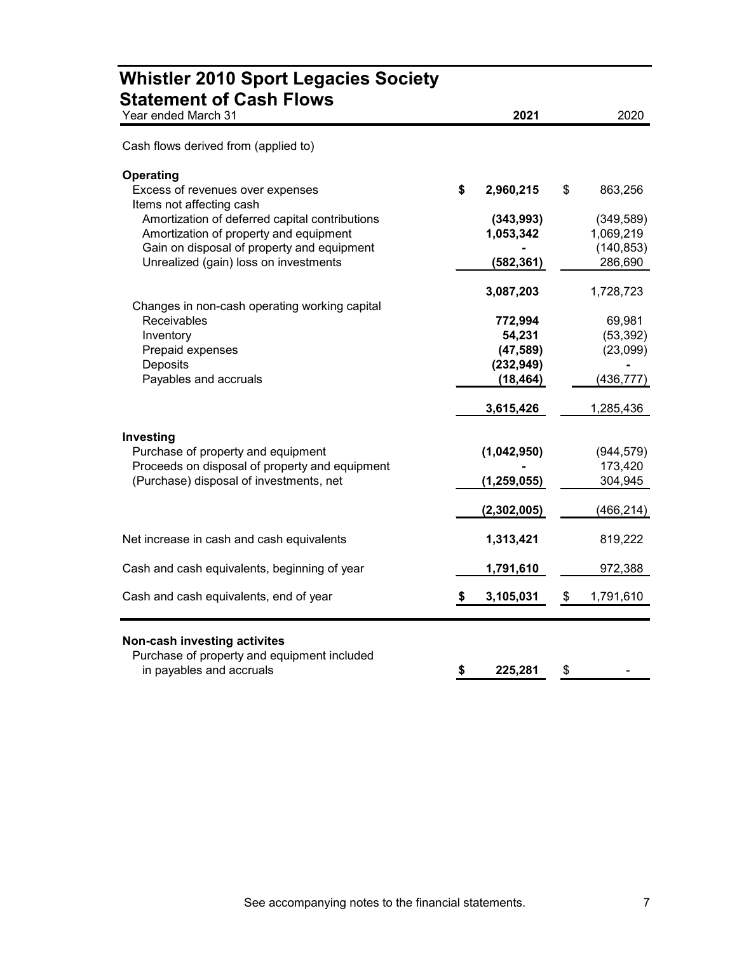| <b>Whistler 2010 Sport Legacies Society</b><br><b>Statement of Cash Flows</b>                                                                |    |                                                                        |    |                                                            |
|----------------------------------------------------------------------------------------------------------------------------------------------|----|------------------------------------------------------------------------|----|------------------------------------------------------------|
| Year ended March 31                                                                                                                          |    | 2021                                                                   |    | 2020                                                       |
| Cash flows derived from (applied to)                                                                                                         |    |                                                                        |    |                                                            |
| Operating<br>Excess of revenues over expenses<br>Items not affecting cash                                                                    | \$ | 2,960,215                                                              | \$ | 863,256                                                    |
| Amortization of deferred capital contributions<br>Amortization of property and equipment<br>Gain on disposal of property and equipment       |    | (343,993)<br>1,053,342                                                 |    | (349, 589)<br>1,069,219<br>(140, 853)                      |
| Unrealized (gain) loss on investments                                                                                                        |    | (582, 361)                                                             |    | 286,690                                                    |
| Changes in non-cash operating working capital                                                                                                |    | 3,087,203                                                              |    | 1,728,723                                                  |
| Receivables<br>Inventory<br>Prepaid expenses<br>Deposits<br>Payables and accruals                                                            |    | 772,994<br>54,231<br>(47, 589)<br>(232, 949)<br>(18, 464)<br>3,615,426 |    | 69,981<br>(53, 392)<br>(23,099)<br>(436, 777)<br>1,285,436 |
| Investing<br>Purchase of property and equipment<br>Proceeds on disposal of property and equipment<br>(Purchase) disposal of investments, net |    | (1,042,950)<br>(1, 259, 055)<br>(2,302,005)                            |    | (944, 579)<br>173,420<br>304,945<br>(466, 214)             |
| Net increase in cash and cash equivalents                                                                                                    |    | 1,313,421                                                              |    | 819,222                                                    |
| Cash and cash equivalents, beginning of year                                                                                                 |    | 1,791,610                                                              |    | 972,388                                                    |
| Cash and cash equivalents, end of year                                                                                                       | S  | 3,105,031                                                              | S  | 1,791,610                                                  |
| Non-cash investing activites<br>Purchase of property and equipment included<br>in payables and accruals                                      | \$ | 225,281                                                                | \$ |                                                            |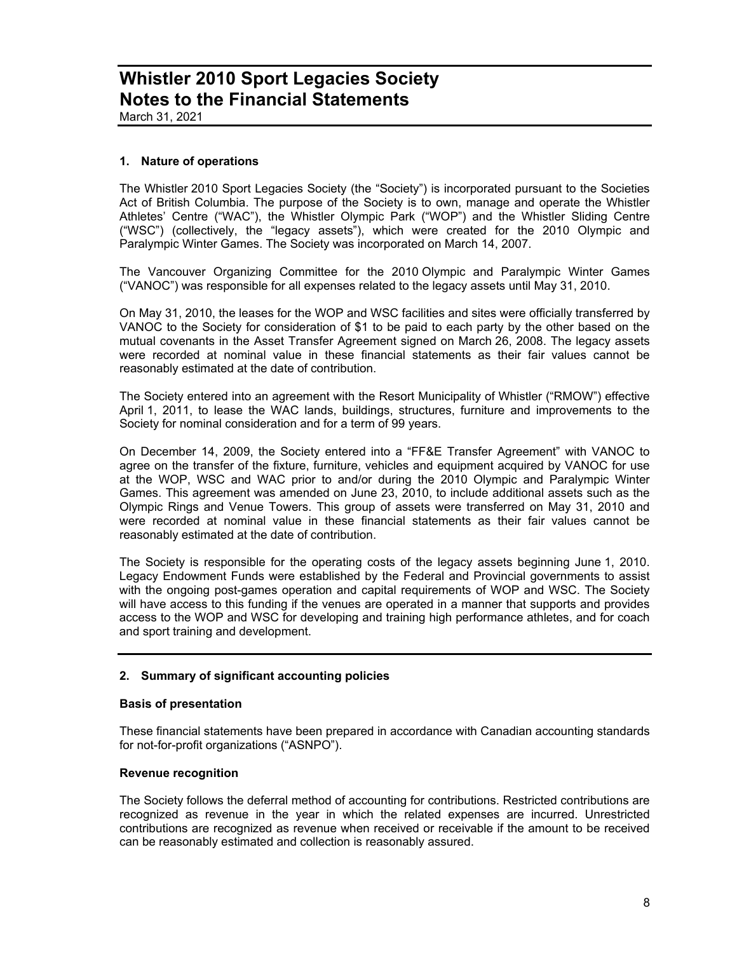### **Whistler 2010 Sport Legacies Society Notes to the Financial Statements**

March 31, 2021

### **1. Nature of operations**

The Whistler 2010 Sport Legacies Society (the "Society") is incorporated pursuant to the Societies Act of British Columbia. The purpose of the Society is to own, manage and operate the Whistler Athletes' Centre ("WAC"), the Whistler Olympic Park ("WOP") and the Whistler Sliding Centre ("WSC") (collectively, the "legacy assets"), which were created for the 2010 Olympic and Paralympic Winter Games. The Society was incorporated on March 14, 2007.

The Vancouver Organizing Committee for the 2010 Olympic and Paralympic Winter Games ("VANOC") was responsible for all expenses related to the legacy assets until May 31, 2010.

On May 31, 2010, the leases for the WOP and WSC facilities and sites were officially transferred by VANOC to the Society for consideration of \$1 to be paid to each party by the other based on the mutual covenants in the Asset Transfer Agreement signed on March 26, 2008. The legacy assets were recorded at nominal value in these financial statements as their fair values cannot be reasonably estimated at the date of contribution.

The Society entered into an agreement with the Resort Municipality of Whistler ("RMOW") effective April 1, 2011, to lease the WAC lands, buildings, structures, furniture and improvements to the Society for nominal consideration and for a term of 99 years.

On December 14, 2009, the Society entered into a "FF&E Transfer Agreement" with VANOC to agree on the transfer of the fixture, furniture, vehicles and equipment acquired by VANOC for use at the WOP, WSC and WAC prior to and/or during the 2010 Olympic and Paralympic Winter Games. This agreement was amended on June 23, 2010, to include additional assets such as the Olympic Rings and Venue Towers. This group of assets were transferred on May 31, 2010 and were recorded at nominal value in these financial statements as their fair values cannot be reasonably estimated at the date of contribution.

The Society is responsible for the operating costs of the legacy assets beginning June 1, 2010. Legacy Endowment Funds were established by the Federal and Provincial governments to assist with the ongoing post-games operation and capital requirements of WOP and WSC. The Society will have access to this funding if the venues are operated in a manner that supports and provides access to the WOP and WSC for developing and training high performance athletes, and for coach and sport training and development.

### **2. Summary of significant accounting policies**

### **Basis of presentation**

These financial statements have been prepared in accordance with Canadian accounting standards for not-for-profit organizations ("ASNPO").

### **Revenue recognition**

The Society follows the deferral method of accounting for contributions. Restricted contributions are recognized as revenue in the year in which the related expenses are incurred. Unrestricted contributions are recognized as revenue when received or receivable if the amount to be received can be reasonably estimated and collection is reasonably assured.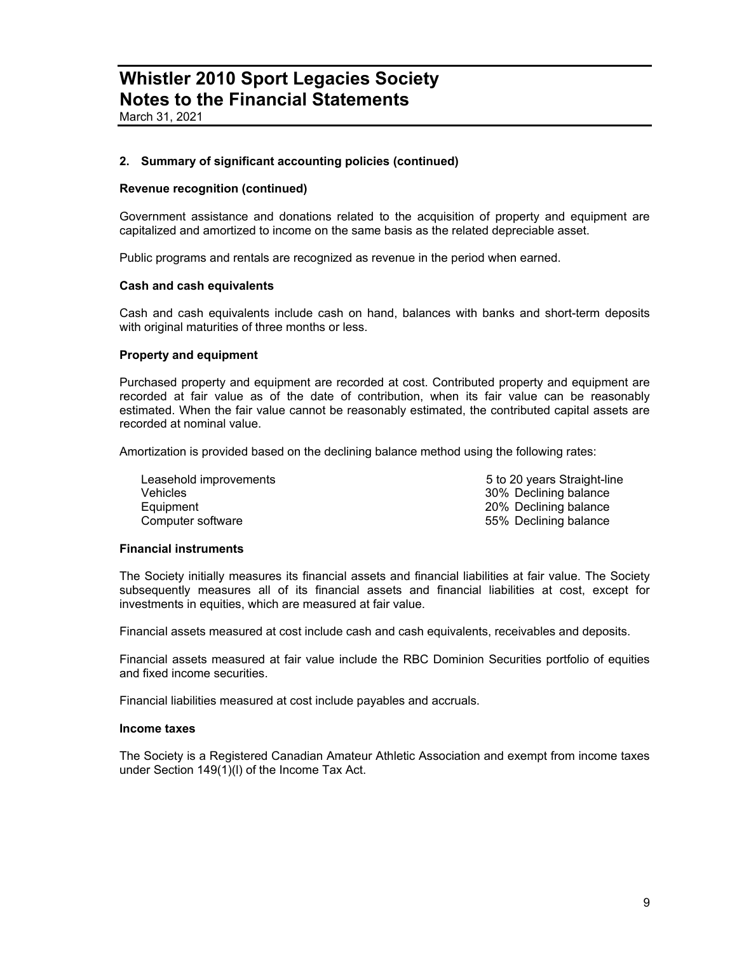March 31, 2021

### **2. Summary of significant accounting policies (continued)**

#### **Revenue recognition (continued)**

Government assistance and donations related to the acquisition of property and equipment are capitalized and amortized to income on the same basis as the related depreciable asset.

Public programs and rentals are recognized as revenue in the period when earned.

#### **Cash and cash equivalents**

Cash and cash equivalents include cash on hand, balances with banks and short-term deposits with original maturities of three months or less.

### **Property and equipment**

Purchased property and equipment are recorded at cost. Contributed property and equipment are recorded at fair value as of the date of contribution, when its fair value can be reasonably estimated. When the fair value cannot be reasonably estimated, the contributed capital assets are recorded at nominal value.

Amortization is provided based on the declining balance method using the following rates:

Vehicles 30% Declining balance<br>Equipment 20% Declining balance Equipment 20% Declining balance<br>
20% Declining balance<br>
20% Declining balance<br>
20% Declining balance

Leasehold improvements  $\begin{array}{r} 5 \text{ to 20 years Straight-line} \\ \text{Vehicles} \end{array}$ 55% Declining balance

#### **Financial instruments**

The Society initially measures its financial assets and financial liabilities at fair value. The Society subsequently measures all of its financial assets and financial liabilities at cost, except for investments in equities, which are measured at fair value.

Financial assets measured at cost include cash and cash equivalents, receivables and deposits.

Financial assets measured at fair value include the RBC Dominion Securities portfolio of equities and fixed income securities.

Financial liabilities measured at cost include payables and accruals.

#### **Income taxes**

The Society is a Registered Canadian Amateur Athletic Association and exempt from income taxes under Section 149(1)(l) of the Income Tax Act.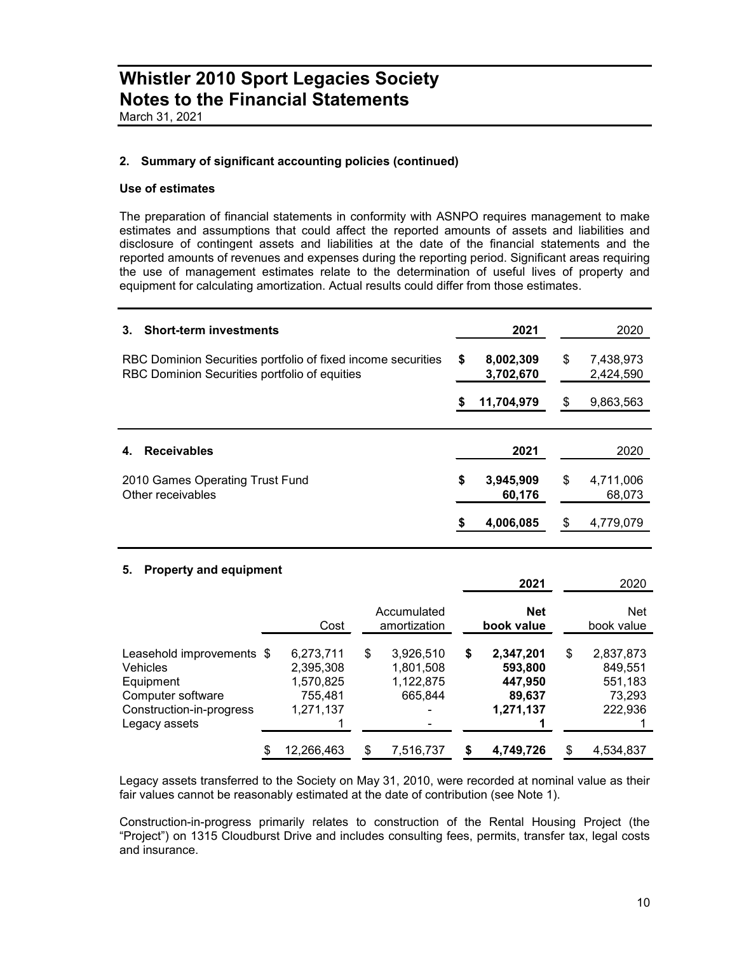March 31, 2021

### **2. Summary of significant accounting policies (continued)**

### **Use of estimates**

The preparation of financial statements in conformity with ASNPO requires management to make estimates and assumptions that could affect the reported amounts of assets and liabilities and disclosure of contingent assets and liabilities at the date of the financial statements and the reported amounts of revenues and expenses during the reporting period. Significant areas requiring the use of management estimates relate to the determination of useful lives of property and equipment for calculating amortization. Actual results could differ from those estimates.

| 3.                                                                                                            | <b>Short-term investments</b>                                                                                        |  |                                                             |    |                                                | 2021                                                         | 2020                                                       |
|---------------------------------------------------------------------------------------------------------------|----------------------------------------------------------------------------------------------------------------------|--|-------------------------------------------------------------|----|------------------------------------------------|--------------------------------------------------------------|------------------------------------------------------------|
| RBC Dominion Securities portfolio of fixed income securities<br>RBC Dominion Securities portfolio of equities |                                                                                                                      |  |                                                             |    |                                                | \$<br>8,002,309<br>3,702,670                                 | \$<br>7,438,973<br>2,424,590                               |
|                                                                                                               |                                                                                                                      |  |                                                             |    |                                                | \$<br>11,704,979                                             | \$<br>9,863,563                                            |
| 4.                                                                                                            | <b>Receivables</b>                                                                                                   |  |                                                             |    |                                                | 2021                                                         | 2020                                                       |
|                                                                                                               | 2010 Games Operating Trust Fund<br>Other receivables                                                                 |  |                                                             |    |                                                | \$<br>3,945,909<br>60,176                                    | \$<br>4,711,006<br>68,073                                  |
|                                                                                                               |                                                                                                                      |  |                                                             |    |                                                | \$<br>4,006,085                                              | \$<br>4,779,079                                            |
| 5.                                                                                                            | <b>Property and equipment</b>                                                                                        |  |                                                             |    |                                                | 2021                                                         | 2020                                                       |
|                                                                                                               |                                                                                                                      |  | Cost                                                        |    | Accumulated<br>amortization                    | <b>Net</b><br>book value                                     | <b>Net</b><br>book value                                   |
|                                                                                                               |                                                                                                                      |  |                                                             |    |                                                |                                                              |                                                            |
|                                                                                                               | Leasehold improvements \$<br>Vehicles<br>Equipment<br>Computer software<br>Construction-in-progress<br>Legacy assets |  | 6,273,711<br>2,395,308<br>1,570,825<br>755,481<br>1,271,137 | \$ | 3,926,510<br>1,801,508<br>1,122,875<br>665,844 | \$<br>2,347,201<br>593,800<br>447,950<br>89,637<br>1,271,137 | \$<br>2,837,873<br>849,551<br>551,183<br>73,293<br>222,936 |

Legacy assets transferred to the Society on May 31, 2010, were recorded at nominal value as their fair values cannot be reasonably estimated at the date of contribution (see Note 1).

Construction-in-progress primarily relates to construction of the Rental Housing Project (the "Project") on 1315 Cloudburst Drive and includes consulting fees, permits, transfer tax, legal costs and insurance.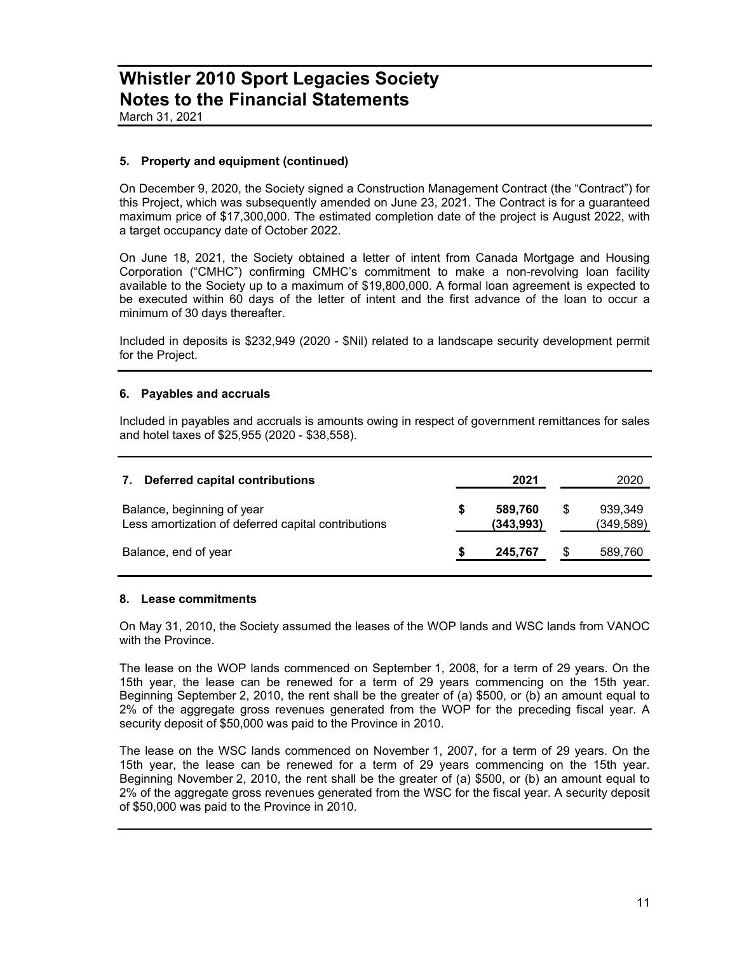### **Whistler 2010 Sport Legacies Society Notes to the Financial Statements**

March 31, 2021

### **5. Property and equipment (continued)**

On December 9, 2020, the Society signed a Construction Management Contract (the "Contract") for this Project, which was subsequently amended on June 23, 2021. The Contract is for a guaranteed maximum price of \$17,300,000. The estimated completion date of the project is August 2022, with a target occupancy date of October 2022.

On June 18, 2021, the Society obtained a letter of intent from Canada Mortgage and Housing Corporation ("CMHC") confirming CMHC's commitment to make a non-revolving loan facility available to the Society up to a maximum of \$19,800,000. A formal loan agreement is expected to be executed within 60 days of the letter of intent and the first advance of the loan to occur a minimum of 30 days thereafter.

Included in deposits is \$232,949 (2020 - \$Nil) related to a landscape security development permit for the Project.

### **6. Payables and accruals**

Included in payables and accruals is amounts owing in respect of government remittances for sales and hotel taxes of \$25,955 (2020 - \$38,558).

| Deferred capital contributions<br>7.                                              |   | 2021                 |   | 2020                 |
|-----------------------------------------------------------------------------------|---|----------------------|---|----------------------|
| Balance, beginning of year<br>Less amortization of deferred capital contributions | S | 589,760<br>(343,993) | S | 939.349<br>(349,589) |
| Balance, end of year                                                              | S | 245,767              | S | 589,760              |

### **8. Lease commitments**

On May 31, 2010, the Society assumed the leases of the WOP lands and WSC lands from VANOC with the Province.

The lease on the WOP lands commenced on September 1, 2008, for a term of 29 years. On the 15th year, the lease can be renewed for a term of 29 years commencing on the 15th year. Beginning September 2, 2010, the rent shall be the greater of (a) \$500, or (b) an amount equal to 2% of the aggregate gross revenues generated from the WOP for the preceding fiscal year. A security deposit of \$50,000 was paid to the Province in 2010.

The lease on the WSC lands commenced on November 1, 2007, for a term of 29 years. On the 15th year, the lease can be renewed for a term of 29 years commencing on the 15th year. Beginning November 2, 2010, the rent shall be the greater of (a) \$500, or (b) an amount equal to 2% of the aggregate gross revenues generated from the WSC for the fiscal year. A security deposit of \$50,000 was paid to the Province in 2010.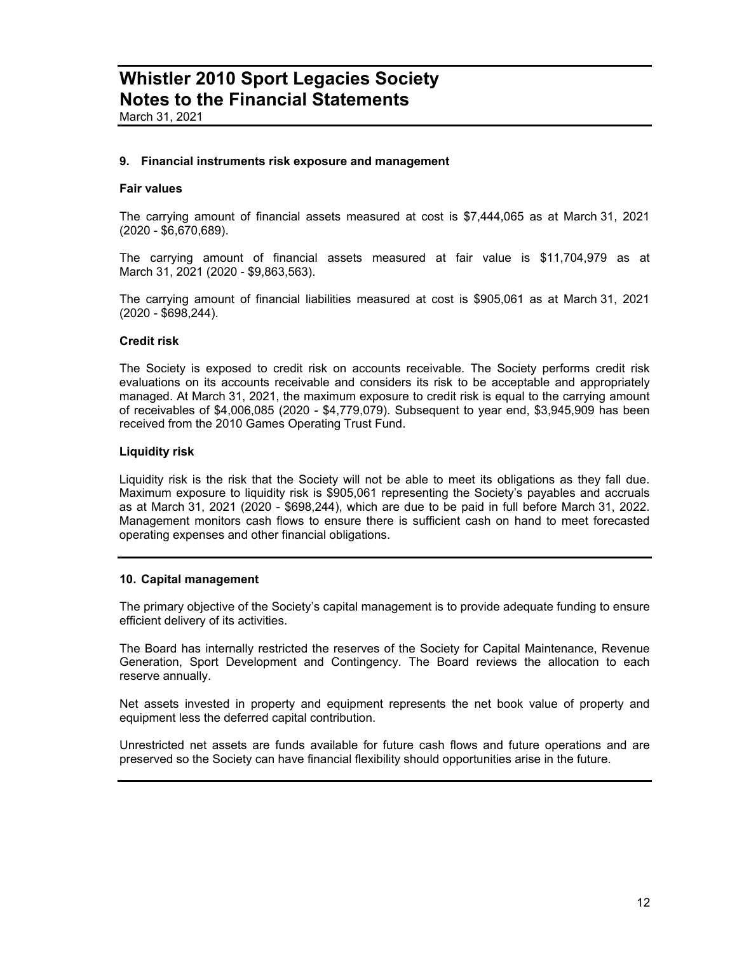March 31, 2021

#### **9. Financial instruments risk exposure and management**

#### **Fair values**

The carrying amount of financial assets measured at cost is \$7,444,065 as at March 31, 2021 (2020 - \$6,670,689).

The carrying amount of financial assets measured at fair value is \$11,704,979 as at March 31, 2021 (2020 - \$9,863,563).

The carrying amount of financial liabilities measured at cost is \$905,061 as at March 31, 2021 (2020 - \$698,244).

### **Credit risk**

The Society is exposed to credit risk on accounts receivable. The Society performs credit risk evaluations on its accounts receivable and considers its risk to be acceptable and appropriately managed. At March 31, 2021, the maximum exposure to credit risk is equal to the carrying amount of receivables of \$4,006,085 (2020 - \$4,779,079). Subsequent to year end, \$3,945,909 has been received from the 2010 Games Operating Trust Fund.

### **Liquidity risk**

Liquidity risk is the risk that the Society will not be able to meet its obligations as they fall due. Maximum exposure to liquidity risk is \$905,061 representing the Society's payables and accruals as at March 31, 2021 (2020 - \$698,244), which are due to be paid in full before March 31, 2022. Management monitors cash flows to ensure there is sufficient cash on hand to meet forecasted operating expenses and other financial obligations.

#### **10. Capital management**

The primary objective of the Society's capital management is to provide adequate funding to ensure efficient delivery of its activities.

The Board has internally restricted the reserves of the Society for Capital Maintenance, Revenue Generation, Sport Development and Contingency. The Board reviews the allocation to each reserve annually.

Net assets invested in property and equipment represents the net book value of property and equipment less the deferred capital contribution.

Unrestricted net assets are funds available for future cash flows and future operations and are preserved so the Society can have financial flexibility should opportunities arise in the future.